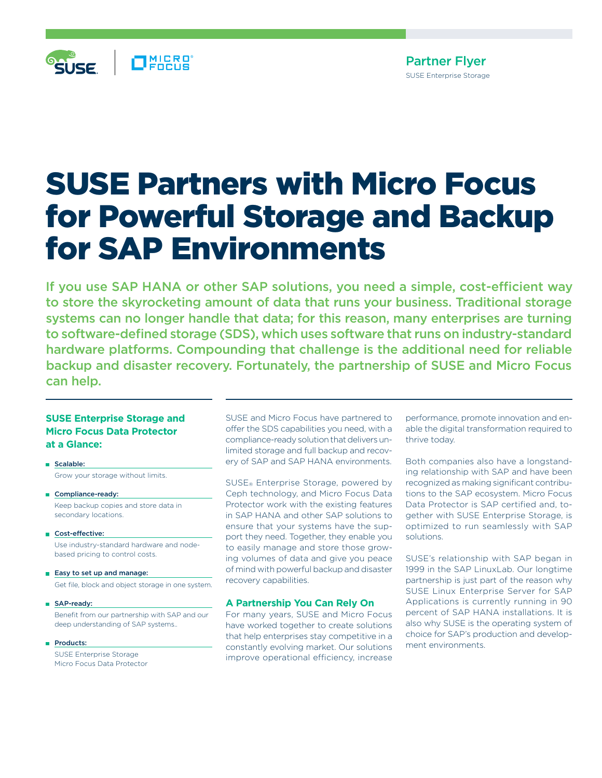

# SUSE Partners with Micro Focus for Powerful Storage and Backup for SAP Environments

If you use SAP HANA or other SAP solutions, you need a simple, cost-efficient way to store the skyrocketing amount of data that runs your business. Traditional storage systems can no longer handle that data; for this reason, many enterprises are turning to software-defined storage (SDS), which uses software that runs on industry-standard hardware platforms. Compounding that challenge is the additional need for reliable backup and disaster recovery. Fortunately, the partnership of SUSE and Micro Focus can help.

## **SUSE Enterprise Storage and Micro Focus Data Protector at a Glance:**

- Scalable: Grow your storage without limits.
- Compliance-ready: Keep backup copies and store data in secondary locations.
- Cost-effective: Use industry-standard hardware and nodebased pricing to control costs.
- Easy to set up and manage: Get file, block and object storage in one system.
- SAP-ready:

Benefit from our partnership with SAP and our deep understanding of SAP systems..

Products:

SUSE Enterprise Storage Micro Focus Data Protector SUSE and Micro Focus have partnered to offer the SDS capabilities you need, with a compliance-ready solution that delivers unlimited storage and full backup and recovery of SAP and SAP HANA environments.

SUSE® Enterprise Storage, powered by Ceph technology, and Micro Focus Data Protector work with the existing features in SAP HANA and other SAP solutions to ensure that your systems have the support they need. Together, they enable you to easily manage and store those growing volumes of data and give you peace of mind with powerful backup and disaster recovery capabilities.

### **A Partnership You Can Rely On**

For many years, SUSE and Micro Focus have worked together to create solutions that help enterprises stay competitive in a constantly evolving market. Our solutions improve operational efficiency, increase

performance, promote innovation and enable the digital transformation required to thrive today.

Both companies also have a longstanding relationship with SAP and have been recognized as making significant contributions to the SAP ecosystem. Micro Focus Data Protector is SAP certified and, together with SUSE Enterprise Storage, is optimized to run seamlessly with SAP solutions.

SUSE's relationship with SAP began in 1999 in the SAP LinuxLab. Our longtime partnership is just part of the reason why SUSE Linux Enterprise Server for SAP Applications is currently running in 90 percent of SAP HANA installations. It is also why SUSE is the operating system of choice for SAP's production and development environments.